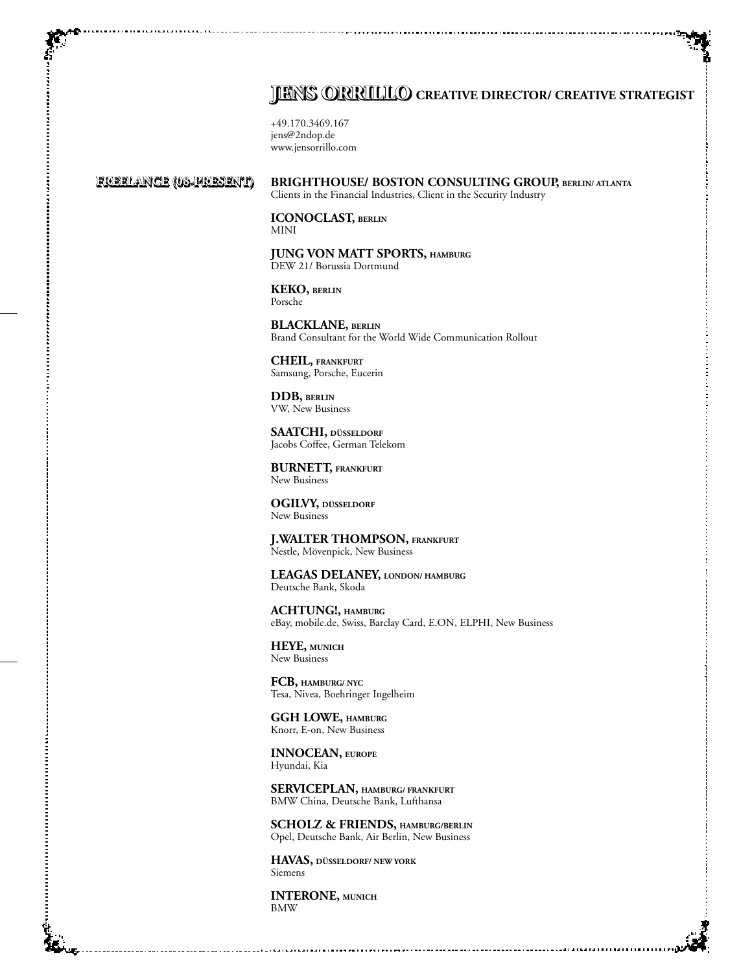## **JENS ORRILLO** CREATIVE DIRECTOR/ CREATIVE STRATEGIST

+49.170.3469.167 jens@2ndop.de www.jensorrillo.com

## **Freelance (08-present) Freelance (08-present)**

**Brighthouse/ Boston Consulting Group, Berlin/ Atlanta** Clients in the Financial Industries, Client in the Security Industry

**ICONOCLAST, Berlin** MINI

**Jung von Matt Sports, Hamburg** DEW 21/ Borussia Dortmund

**KEKO, BERLIN** Porsche

**BLACKLANE, Berlin** Brand Consultant for the World Wide Communication Rollout

**Cheil, Frankfurt** Samsung, Porsche, Eucerin

**DDB, BErlin** VW, New Business

**Saatchi, Düsseldorf** Jacobs Coffee, German Telekom

**Burnett, Frankfurt** New Business

**Ogilvy, Düsseldorf** New Business

**J.Walter Thompson, Frankfurt** Nestle, Mövenpick, New Business

**Leagas Delaney, London/ Hamburg** Deutsche Bank, Skoda

**ACHTUNG!, HAmburg** eBay, mobile.de, Swiss, Barclay Card, E.ON, ELPHI, New Business

**HEYE, Munich** New Business

**FCB, HAmburg/ NYC** Tesa, Nivea, Boehringer Ingelheim

**GGH LOWE, HAmburg** Knorr, E-on, New Business

**innocean, europe** Hyundai, Kia

**Serviceplan, hamburg/ frankfurt** BMW China, Deutsche Bank, Lufthansa

**Scholz & Friends, hamburg/Berlin** Opel, Deutsche Bank, Air Berlin, New Business

**HAVAS, Düsseldorf/ New York** Siemens

**Interone, Munich** BMW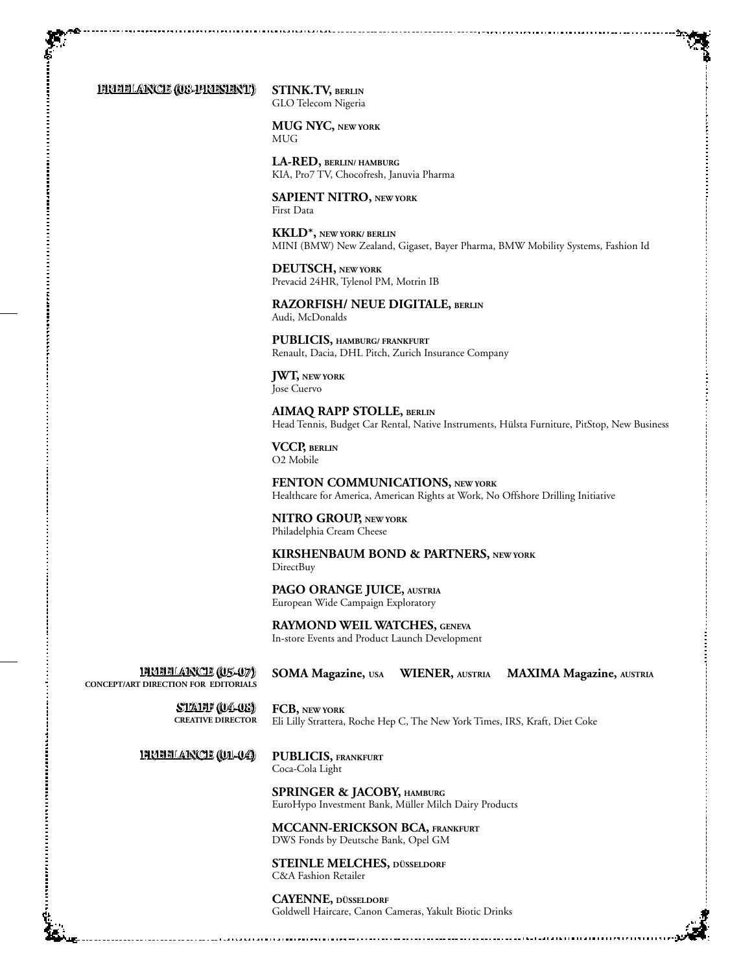**Freelance (08-present) Freelance (08-present)**

**Stink.TV, Berlin** GLO Telecom Nigeria

**MUG NYC, New YorK** MUG

**LA-Red, Berlin/ Hamburg** KIA, Pro7 TV, Chocofresh, Januvia Pharma

**Sapient nitro, New YorK** First Data

**KKLD\*, New YorK/ BERLIN** MINI (BMW) New Zealand, Gigaset, Bayer Pharma, BMW Mobility Systems, Fashion Id

**Deutsch, New York** Prevacid 24HR, Tylenol PM, Motrin IB

**RAZORFISH/ NEUE DIGITALE, BERLIN** Audi, McDonalds

**Publicis, Hamburg/ Frankfurt** Renault, Dacia, DHL Pitch, Zurich Insurance Company

**JWT, New York** Jose Cuervo

**aimaq rapp stolle, berlin** Head Tennis, Budget Car Rental, Native Instruments, Hülsta Furniture, PitStop, New Business

**VCCP, Berlin** O2 Mobile

**Fenton communications, New York** Healthcare for America, American Rights at Work, No Offshore Drilling Initiative

**NITRO GROUP, New York** Philadelphia Cream Cheese

**Kirshenbaum Bond & Partners, New York** DirectBuy

**Pago Orange juice, Austria** European Wide Campaign Exploratory

**Raymond Weil Watches, Geneva** In-store Events and Product Launch Development

**Freelance (05-07) Freelance (05-07) Concept/art Direction for editorials** **SOMA Magazine, USA WIENER, Austria MAXIMA Magazine, Austria**

**staff (04-08) staff (04-08) Creative director**

**FCB, New York** Eli Lilly Strattera, Roche Hep C, The New York Times, IRS, Kraft, Diet Coke

**Freelance (01-04) Freelance (01-04)**

**Publicis, Frankfurt** Coca-Cola Light

**Springer & Jacoby, Hamburg** EuroHypo Investment Bank, Müller Milch Dairy Products

**McCann-Erickson BCA, Frankfurt** DWS Fonds by Deutsche Bank, Opel GM

**Steinle Melches, düsseldorf** C&A Fashion Retailer

**Cayenne, düsseldorf** Goldwell Haircare, Canon Cameras, Yakult Biotic Drinks